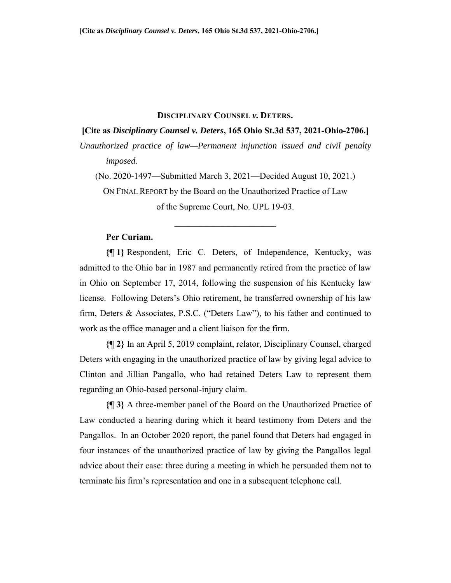#### **DISCIPLINARY COUNSEL** *v.* **DETERS.**

## **[Cite as** *Disciplinary Counsel v. Deters***, 165 Ohio St.3d 537, 2021-Ohio-2706.]**

*Unauthorized practice of law—Permanent injunction issued and civil penalty imposed.* 

(No. 2020-1497—Submitted March 3, 2021—Decided August 10, 2021.)

ON FINAL REPORT by the Board on the Unauthorized Practice of Law of the Supreme Court, No. UPL 19-03.

## **Per Curiam.**

**{¶ 1}** Respondent, Eric C. Deters, of Independence, Kentucky, was admitted to the Ohio bar in 1987 and permanently retired from the practice of law in Ohio on September 17, 2014, following the suspension of his Kentucky law license. Following Deters's Ohio retirement, he transferred ownership of his law firm, Deters & Associates, P.S.C. ("Deters Law"), to his father and continued to work as the office manager and a client liaison for the firm.

**{¶ 2}** In an April 5, 2019 complaint, relator, Disciplinary Counsel, charged Deters with engaging in the unauthorized practice of law by giving legal advice to Clinton and Jillian Pangallo, who had retained Deters Law to represent them regarding an Ohio-based personal-injury claim.

**{¶ 3}** A three-member panel of the Board on the Unauthorized Practice of Law conducted a hearing during which it heard testimony from Deters and the Pangallos. In an October 2020 report, the panel found that Deters had engaged in four instances of the unauthorized practice of law by giving the Pangallos legal advice about their case: three during a meeting in which he persuaded them not to terminate his firm's representation and one in a subsequent telephone call.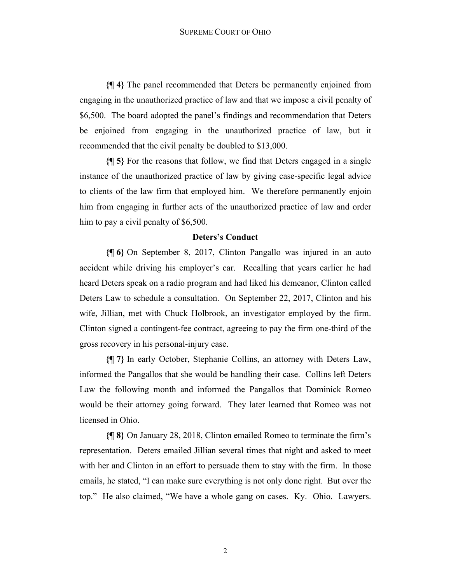**{¶ 4}** The panel recommended that Deters be permanently enjoined from engaging in the unauthorized practice of law and that we impose a civil penalty of \$6,500. The board adopted the panel's findings and recommendation that Deters be enjoined from engaging in the unauthorized practice of law, but it recommended that the civil penalty be doubled to \$13,000.

**{¶ 5}** For the reasons that follow, we find that Deters engaged in a single instance of the unauthorized practice of law by giving case-specific legal advice to clients of the law firm that employed him. We therefore permanently enjoin him from engaging in further acts of the unauthorized practice of law and order him to pay a civil penalty of \$6,500.

#### **Deters's Conduct**

**{¶ 6}** On September 8, 2017, Clinton Pangallo was injured in an auto accident while driving his employer's car. Recalling that years earlier he had heard Deters speak on a radio program and had liked his demeanor, Clinton called Deters Law to schedule a consultation. On September 22, 2017, Clinton and his wife, Jillian, met with Chuck Holbrook, an investigator employed by the firm. Clinton signed a contingent-fee contract, agreeing to pay the firm one-third of the gross recovery in his personal-injury case.

**{¶ 7}** In early October, Stephanie Collins, an attorney with Deters Law, informed the Pangallos that she would be handling their case. Collins left Deters Law the following month and informed the Pangallos that Dominick Romeo would be their attorney going forward. They later learned that Romeo was not licensed in Ohio.

**{¶ 8}** On January 28, 2018, Clinton emailed Romeo to terminate the firm's representation. Deters emailed Jillian several times that night and asked to meet with her and Clinton in an effort to persuade them to stay with the firm. In those emails, he stated, "I can make sure everything is not only done right. But over the top." He also claimed, "We have a whole gang on cases. Ky. Ohio. Lawyers.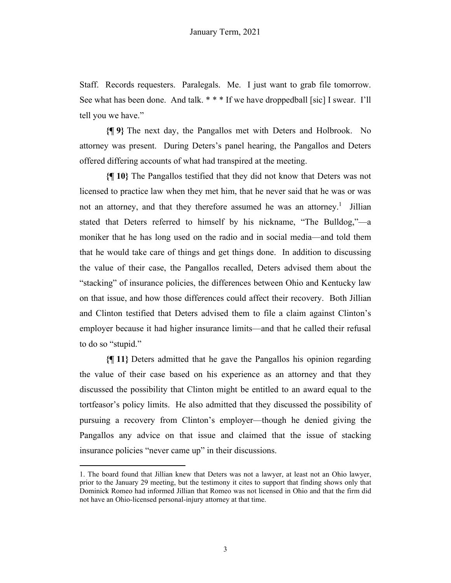Staff. Records requesters. Paralegals. Me. I just want to grab file tomorrow. See what has been done. And talk. \* \* \* If we have droppedball [sic] I swear. I'll tell you we have."

**{¶ 9}** The next day, the Pangallos met with Deters and Holbrook. No attorney was present. During Deters's panel hearing, the Pangallos and Deters offered differing accounts of what had transpired at the meeting.

**{¶ 10}** The Pangallos testified that they did not know that Deters was not licensed to practice law when they met him, that he never said that he was or was not an attorney, and that they therefore assumed he was an attorney.<sup>1</sup> Jillian stated that Deters referred to himself by his nickname, "The Bulldog,"—a moniker that he has long used on the radio and in social media—and told them that he would take care of things and get things done. In addition to discussing the value of their case, the Pangallos recalled, Deters advised them about the "stacking" of insurance policies, the differences between Ohio and Kentucky law on that issue, and how those differences could affect their recovery. Both Jillian and Clinton testified that Deters advised them to file a claim against Clinton's employer because it had higher insurance limits—and that he called their refusal to do so "stupid."

**{¶ 11}** Deters admitted that he gave the Pangallos his opinion regarding the value of their case based on his experience as an attorney and that they discussed the possibility that Clinton might be entitled to an award equal to the tortfeasor's policy limits. He also admitted that they discussed the possibility of pursuing a recovery from Clinton's employer—though he denied giving the Pangallos any advice on that issue and claimed that the issue of stacking insurance policies "never came up" in their discussions.

<sup>1.</sup> The board found that Jillian knew that Deters was not a lawyer, at least not an Ohio lawyer, prior to the January 29 meeting, but the testimony it cites to support that finding shows only that Dominick Romeo had informed Jillian that Romeo was not licensed in Ohio and that the firm did not have an Ohio-licensed personal-injury attorney at that time.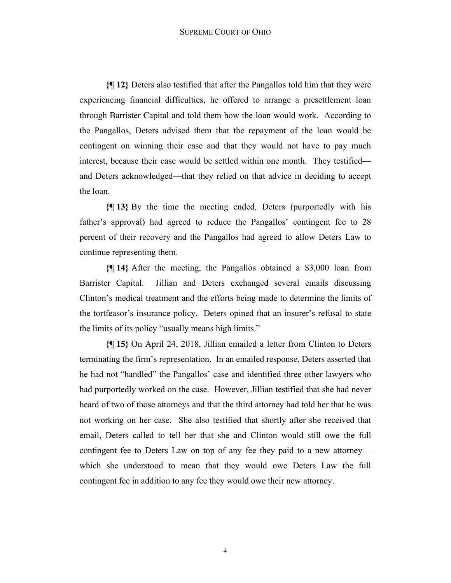**{¶ 12}** Deters also testified that after the Pangallos told him that they were experiencing financial difficulties, he offered to arrange a presettlement loan through Barrister Capital and told them how the loan would work. According to the Pangallos, Deters advised them that the repayment of the loan would be contingent on winning their case and that they would not have to pay much interest, because their case would be settled within one month. They testified and Deters acknowledged—that they relied on that advice in deciding to accept the loan.

**{¶ 13}** By the time the meeting ended, Deters (purportedly with his father's approval) had agreed to reduce the Pangallos' contingent fee to 28 percent of their recovery and the Pangallos had agreed to allow Deters Law to continue representing them.

**{¶ 14}** After the meeting, the Pangallos obtained a \$3,000 loan from Barrister Capital. Jillian and Deters exchanged several emails discussing Clinton's medical treatment and the efforts being made to determine the limits of the tortfeasor's insurance policy. Deters opined that an insurer's refusal to state the limits of its policy "usually means high limits."

**{¶ 15}** On April 24, 2018, Jillian emailed a letter from Clinton to Deters terminating the firm's representation. In an emailed response, Deters asserted that he had not "handled" the Pangallos' case and identified three other lawyers who had purportedly worked on the case. However, Jillian testified that she had never heard of two of those attorneys and that the third attorney had told her that he was not working on her case. She also testified that shortly after she received that email, Deters called to tell her that she and Clinton would still owe the full contingent fee to Deters Law on top of any fee they paid to a new attorney which she understood to mean that they would owe Deters Law the full contingent fee in addition to any fee they would owe their new attorney.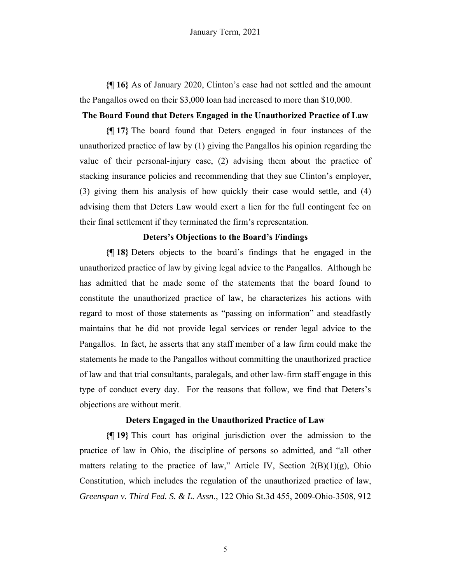**{¶ 16}** As of January 2020, Clinton's case had not settled and the amount the Pangallos owed on their \$3,000 loan had increased to more than \$10,000.

### **The Board Found that Deters Engaged in the Unauthorized Practice of Law**

**{¶ 17}** The board found that Deters engaged in four instances of the unauthorized practice of law by (1) giving the Pangallos his opinion regarding the value of their personal-injury case, (2) advising them about the practice of stacking insurance policies and recommending that they sue Clinton's employer, (3) giving them his analysis of how quickly their case would settle, and (4) advising them that Deters Law would exert a lien for the full contingent fee on their final settlement if they terminated the firm's representation.

#### **Deters's Objections to the Board's Findings**

**{¶ 18}** Deters objects to the board's findings that he engaged in the unauthorized practice of law by giving legal advice to the Pangallos. Although he has admitted that he made some of the statements that the board found to constitute the unauthorized practice of law, he characterizes his actions with regard to most of those statements as "passing on information" and steadfastly maintains that he did not provide legal services or render legal advice to the Pangallos. In fact, he asserts that any staff member of a law firm could make the statements he made to the Pangallos without committing the unauthorized practice of law and that trial consultants, paralegals, and other law-firm staff engage in this type of conduct every day. For the reasons that follow, we find that Deters's objections are without merit.

### **Deters Engaged in the Unauthorized Practice of Law**

**{¶ 19}** This court has original jurisdiction over the admission to the practice of law in Ohio, the discipline of persons so admitted, and "all other matters relating to the practice of law," Article IV, Section  $2(B)(1)(g)$ , Ohio Constitution, which includes the regulation of the unauthorized practice of law, *Greenspan v. Third Fed. S. & L. Assn.*, 122 Ohio St.3d 455, 2009-Ohio-3508, 912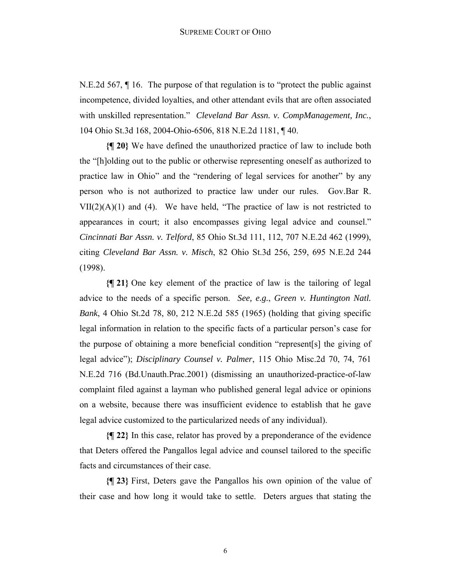N.E.2d 567, ¶ 16. The purpose of that regulation is to "protect the public against incompetence, divided loyalties, and other attendant evils that are often associated with unskilled representation." *Cleveland Bar Assn. v. CompManagement, Inc.*, 104 Ohio St.3d 168, 2004-Ohio-6506, 818 N.E.2d 1181, ¶ 40.

**{¶ 20}** We have defined the unauthorized practice of law to include both the "[h]olding out to the public or otherwise representing oneself as authorized to practice law in Ohio" and the "rendering of legal services for another" by any person who is not authorized to practice law under our rules. Gov.Bar R.  $VII(2)(A)(1)$  and (4). We have held, "The practice of law is not restricted to appearances in court; it also encompasses giving legal advice and counsel." *Cincinnati Bar Assn. v. Telford*, 85 Ohio St.3d 111, 112, 707 N.E.2d 462 (1999), citing *Cleveland Bar Assn. v. Misch*, 82 Ohio St.3d 256, 259, 695 N.E.2d 244 (1998).

**{¶ 21}** One key element of the practice of law is the tailoring of legal advice to the needs of a specific person. *See, e.g.*, *Green v. Huntington Natl. Bank*, 4 Ohio St.2d 78, 80, 212 N.E.2d 585 (1965) (holding that giving specific legal information in relation to the specific facts of a particular person's case for the purpose of obtaining a more beneficial condition "represent[s] the giving of legal advice"); *Disciplinary Counsel v. Palmer*, 115 Ohio Misc.2d 70, 74, 761 N.E.2d 716 (Bd.Unauth.Prac.2001) (dismissing an unauthorized-practice-of-law complaint filed against a layman who published general legal advice or opinions on a website, because there was insufficient evidence to establish that he gave legal advice customized to the particularized needs of any individual).

**{¶ 22}** In this case, relator has proved by a preponderance of the evidence that Deters offered the Pangallos legal advice and counsel tailored to the specific facts and circumstances of their case.

**{¶ 23}** First, Deters gave the Pangallos his own opinion of the value of their case and how long it would take to settle. Deters argues that stating the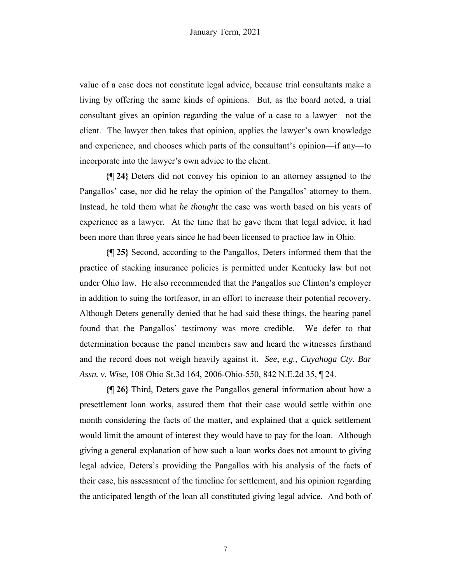value of a case does not constitute legal advice, because trial consultants make a living by offering the same kinds of opinions. But, as the board noted, a trial consultant gives an opinion regarding the value of a case to a lawyer—not the client. The lawyer then takes that opinion, applies the lawyer's own knowledge and experience, and chooses which parts of the consultant's opinion—if any—to incorporate into the lawyer's own advice to the client.

**{¶ 24}** Deters did not convey his opinion to an attorney assigned to the Pangallos' case, nor did he relay the opinion of the Pangallos' attorney to them. Instead, he told them what *he thought* the case was worth based on his years of experience as a lawyer. At the time that he gave them that legal advice, it had been more than three years since he had been licensed to practice law in Ohio.

**{¶ 25}** Second, according to the Pangallos, Deters informed them that the practice of stacking insurance policies is permitted under Kentucky law but not under Ohio law. He also recommended that the Pangallos sue Clinton's employer in addition to suing the tortfeasor, in an effort to increase their potential recovery. Although Deters generally denied that he had said these things, the hearing panel found that the Pangallos' testimony was more credible. We defer to that determination because the panel members saw and heard the witnesses firsthand and the record does not weigh heavily against it. *See*, *e.g.*, *Cuyahoga Cty. Bar Assn. v. Wise*, 108 Ohio St.3d 164, 2006-Ohio-550, 842 N.E.2d 35, ¶ 24.

**{¶ 26}** Third, Deters gave the Pangallos general information about how a presettlement loan works, assured them that their case would settle within one month considering the facts of the matter, and explained that a quick settlement would limit the amount of interest they would have to pay for the loan. Although giving a general explanation of how such a loan works does not amount to giving legal advice, Deters's providing the Pangallos with his analysis of the facts of their case, his assessment of the timeline for settlement, and his opinion regarding the anticipated length of the loan all constituted giving legal advice. And both of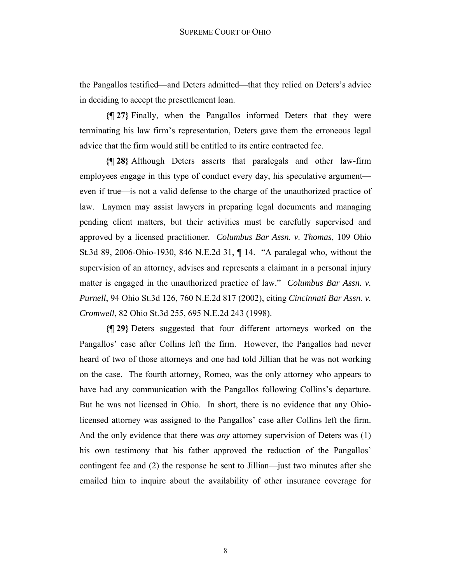the Pangallos testified—and Deters admitted—that they relied on Deters's advice in deciding to accept the presettlement loan.

**{¶ 27}** Finally, when the Pangallos informed Deters that they were terminating his law firm's representation, Deters gave them the erroneous legal advice that the firm would still be entitled to its entire contracted fee.

**{¶ 28}** Although Deters asserts that paralegals and other law-firm employees engage in this type of conduct every day, his speculative argument even if true—is not a valid defense to the charge of the unauthorized practice of law. Laymen may assist lawyers in preparing legal documents and managing pending client matters, but their activities must be carefully supervised and approved by a licensed practitioner. *Columbus Bar Assn. v. Thomas*, 109 Ohio St.3d 89, 2006-Ohio-1930, 846 N.E.2d 31, ¶ 14. "A paralegal who, without the supervision of an attorney, advises and represents a claimant in a personal injury matter is engaged in the unauthorized practice of law." *Columbus Bar Assn. v. Purnell*, 94 Ohio St.3d 126, 760 N.E.2d 817 (2002), citing *Cincinnati Bar Assn. v. Cromwell*, 82 Ohio St.3d 255, 695 N.E.2d 243 (1998).

**{¶ 29}** Deters suggested that four different attorneys worked on the Pangallos' case after Collins left the firm. However, the Pangallos had never heard of two of those attorneys and one had told Jillian that he was not working on the case. The fourth attorney, Romeo, was the only attorney who appears to have had any communication with the Pangallos following Collins's departure. But he was not licensed in Ohio. In short, there is no evidence that any Ohiolicensed attorney was assigned to the Pangallos' case after Collins left the firm. And the only evidence that there was *any* attorney supervision of Deters was (1) his own testimony that his father approved the reduction of the Pangallos' contingent fee and (2) the response he sent to Jillian—just two minutes after she emailed him to inquire about the availability of other insurance coverage for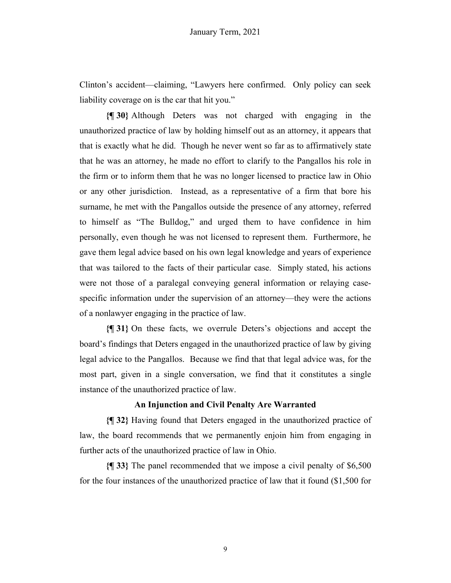Clinton's accident—claiming, "Lawyers here confirmed. Only policy can seek liability coverage on is the car that hit you."

**{¶ 30}** Although Deters was not charged with engaging in the unauthorized practice of law by holding himself out as an attorney, it appears that that is exactly what he did. Though he never went so far as to affirmatively state that he was an attorney, he made no effort to clarify to the Pangallos his role in the firm or to inform them that he was no longer licensed to practice law in Ohio or any other jurisdiction. Instead, as a representative of a firm that bore his surname, he met with the Pangallos outside the presence of any attorney, referred to himself as "The Bulldog," and urged them to have confidence in him personally, even though he was not licensed to represent them. Furthermore, he gave them legal advice based on his own legal knowledge and years of experience that was tailored to the facts of their particular case. Simply stated, his actions were not those of a paralegal conveying general information or relaying casespecific information under the supervision of an attorney—they were the actions of a nonlawyer engaging in the practice of law.

**{¶ 31}** On these facts, we overrule Deters's objections and accept the board's findings that Deters engaged in the unauthorized practice of law by giving legal advice to the Pangallos. Because we find that that legal advice was, for the most part, given in a single conversation, we find that it constitutes a single instance of the unauthorized practice of law.

## **An Injunction and Civil Penalty Are Warranted**

**{¶ 32}** Having found that Deters engaged in the unauthorized practice of law, the board recommends that we permanently enjoin him from engaging in further acts of the unauthorized practice of law in Ohio.

**{¶ 33}** The panel recommended that we impose a civil penalty of \$6,500 for the four instances of the unauthorized practice of law that it found (\$1,500 for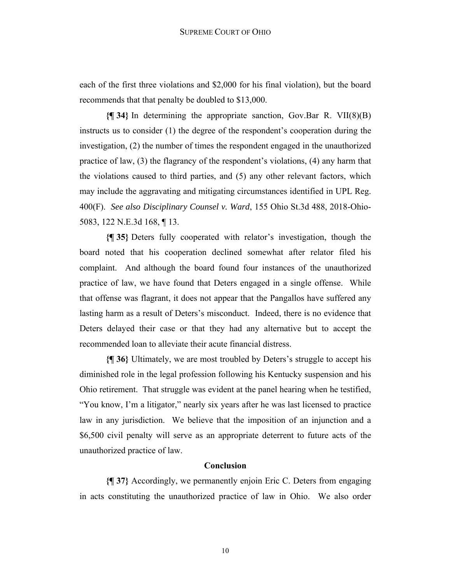each of the first three violations and \$2,000 for his final violation), but the board recommends that that penalty be doubled to \$13,000.

**{¶ 34}** In determining the appropriate sanction, Gov.Bar R. VII(8)(B) instructs us to consider (1) the degree of the respondent's cooperation during the investigation, (2) the number of times the respondent engaged in the unauthorized practice of law, (3) the flagrancy of the respondent's violations, (4) any harm that the violations caused to third parties, and (5) any other relevant factors, which may include the aggravating and mitigating circumstances identified in UPL Reg. 400(F). *See also Disciplinary Counsel v. Ward*, 155 Ohio St.3d 488, 2018-Ohio-5083, 122 N.E.3d 168, ¶ 13.

**{¶ 35}** Deters fully cooperated with relator's investigation, though the board noted that his cooperation declined somewhat after relator filed his complaint. And although the board found four instances of the unauthorized practice of law, we have found that Deters engaged in a single offense. While that offense was flagrant, it does not appear that the Pangallos have suffered any lasting harm as a result of Deters's misconduct. Indeed, there is no evidence that Deters delayed their case or that they had any alternative but to accept the recommended loan to alleviate their acute financial distress.

**{¶ 36}** Ultimately, we are most troubled by Deters's struggle to accept his diminished role in the legal profession following his Kentucky suspension and his Ohio retirement. That struggle was evident at the panel hearing when he testified, "You know, I'm a litigator," nearly six years after he was last licensed to practice law in any jurisdiction. We believe that the imposition of an injunction and a \$6,500 civil penalty will serve as an appropriate deterrent to future acts of the unauthorized practice of law.

### **Conclusion**

**{¶ 37}** Accordingly, we permanently enjoin Eric C. Deters from engaging in acts constituting the unauthorized practice of law in Ohio. We also order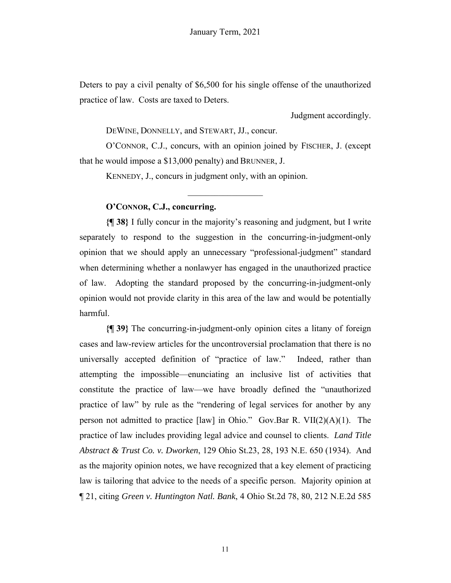Deters to pay a civil penalty of \$6,500 for his single offense of the unauthorized practice of law. Costs are taxed to Deters.

Judgment accordingly.

DEWINE, DONNELLY, and STEWART, JJ., concur.

O'CONNOR, C.J., concurs, with an opinion joined by FISCHER, J. (except that he would impose a \$13,000 penalty) and BRUNNER, J.

KENNEDY, J., concurs in judgment only, with an opinion.

# **O'CONNOR, C.J., concurring.**

**{¶ 38}** I fully concur in the majority's reasoning and judgment, but I write separately to respond to the suggestion in the concurring-in-judgment-only opinion that we should apply an unnecessary "professional-judgment" standard when determining whether a nonlawyer has engaged in the unauthorized practice of law. Adopting the standard proposed by the concurring-in-judgment-only opinion would not provide clarity in this area of the law and would be potentially harmful.

**{¶ 39}** The concurring-in-judgment-only opinion cites a litany of foreign cases and law-review articles for the uncontroversial proclamation that there is no universally accepted definition of "practice of law." Indeed, rather than attempting the impossible—enunciating an inclusive list of activities that constitute the practice of law—we have broadly defined the "unauthorized practice of law" by rule as the "rendering of legal services for another by any person not admitted to practice [law] in Ohio." Gov.Bar R. VII(2)(A)(1). The practice of law includes providing legal advice and counsel to clients. *Land Title Abstract & Trust Co. v. Dworken*, 129 Ohio St.23, 28, 193 N.E. 650 (1934). And as the majority opinion notes, we have recognized that a key element of practicing law is tailoring that advice to the needs of a specific person. Majority opinion at ¶ 21, citing *Green v. Huntington Natl. Bank*, 4 Ohio St.2d 78, 80, 212 N.E.2d 585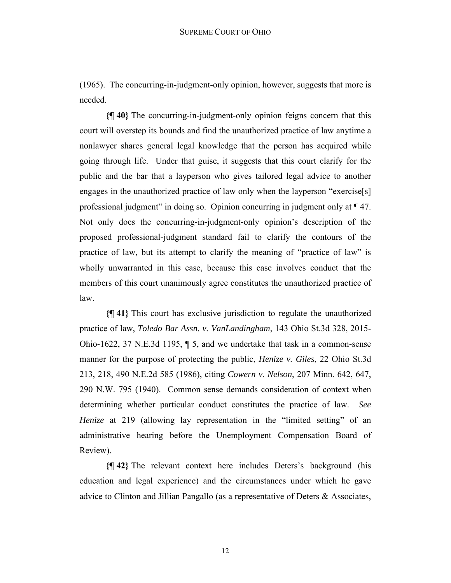(1965). The concurring-in-judgment-only opinion, however, suggests that more is needed.

**{¶ 40}** The concurring-in-judgment-only opinion feigns concern that this court will overstep its bounds and find the unauthorized practice of law anytime a nonlawyer shares general legal knowledge that the person has acquired while going through life. Under that guise, it suggests that this court clarify for the public and the bar that a layperson who gives tailored legal advice to another engages in the unauthorized practice of law only when the layperson "exercise[s] professional judgment" in doing so. Opinion concurring in judgment only at ¶ 47. Not only does the concurring-in-judgment-only opinion's description of the proposed professional-judgment standard fail to clarify the contours of the practice of law, but its attempt to clarify the meaning of "practice of law" is wholly unwarranted in this case, because this case involves conduct that the members of this court unanimously agree constitutes the unauthorized practice of law.

**{¶ 41}** This court has exclusive jurisdiction to regulate the unauthorized practice of law, *Toledo Bar Assn. v. VanLandingham*, 143 Ohio St.3d 328, 2015- Ohio-1622, 37 N.E.3d 1195, ¶ 5, and we undertake that task in a common-sense manner for the purpose of protecting the public, *Henize v. Giles*, 22 Ohio St.3d 213, 218, 490 N.E.2d 585 (1986), citing *Cowern v. Nelson*, 207 Minn. 642, 647, 290 N.W. 795 (1940). Common sense demands consideration of context when determining whether particular conduct constitutes the practice of law. *See Henize* at 219 (allowing lay representation in the "limited setting" of an administrative hearing before the Unemployment Compensation Board of Review).

**{¶ 42}** The relevant context here includes Deters's background (his education and legal experience) and the circumstances under which he gave advice to Clinton and Jillian Pangallo (as a representative of Deters & Associates,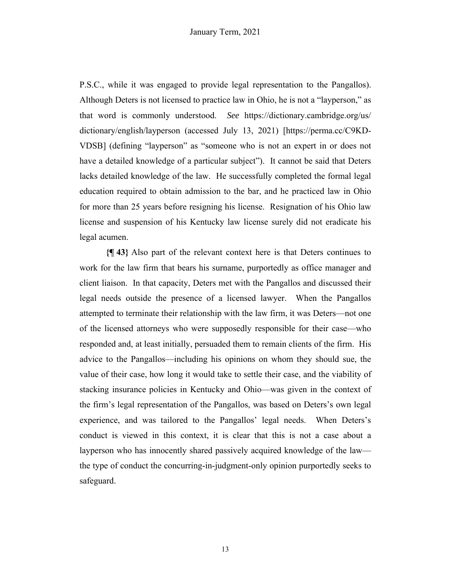P.S.C., while it was engaged to provide legal representation to the Pangallos). Although Deters is not licensed to practice law in Ohio, he is not a "layperson," as that word is commonly understood. *See* https://dictionary.cambridge.org/us/ dictionary/english/layperson (accessed July 13, 2021) [https://perma.cc/C9KD-VDSB] (defining "layperson" as "someone who is not an expert in or does not have a detailed knowledge of a particular subject"). It cannot be said that Deters lacks detailed knowledge of the law. He successfully completed the formal legal education required to obtain admission to the bar, and he practiced law in Ohio for more than 25 years before resigning his license. Resignation of his Ohio law license and suspension of his Kentucky law license surely did not eradicate his legal acumen.

**{¶ 43}** Also part of the relevant context here is that Deters continues to work for the law firm that bears his surname, purportedly as office manager and client liaison. In that capacity, Deters met with the Pangallos and discussed their legal needs outside the presence of a licensed lawyer. When the Pangallos attempted to terminate their relationship with the law firm, it was Deters—not one of the licensed attorneys who were supposedly responsible for their case—who responded and, at least initially, persuaded them to remain clients of the firm. His advice to the Pangallos—including his opinions on whom they should sue, the value of their case, how long it would take to settle their case, and the viability of stacking insurance policies in Kentucky and Ohio—was given in the context of the firm's legal representation of the Pangallos, was based on Deters's own legal experience, and was tailored to the Pangallos' legal needs. When Deters's conduct is viewed in this context, it is clear that this is not a case about a layperson who has innocently shared passively acquired knowledge of the law the type of conduct the concurring-in-judgment-only opinion purportedly seeks to safeguard.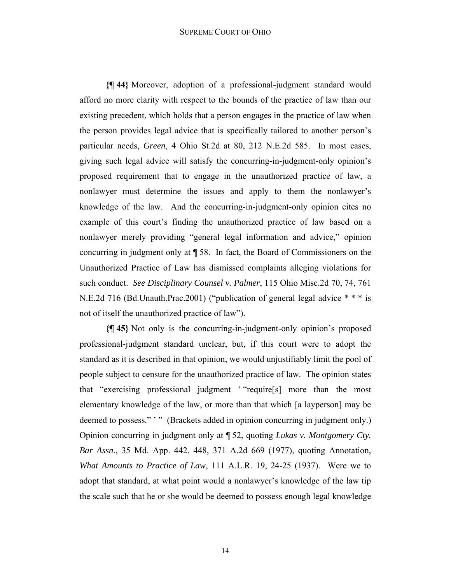#### SUPREME COURT OF OHIO

**{¶ 44}** Moreover, adoption of a professional-judgment standard would afford no more clarity with respect to the bounds of the practice of law than our existing precedent, which holds that a person engages in the practice of law when the person provides legal advice that is specifically tailored to another person's particular needs, *Green*, 4 Ohio St.2d at 80, 212 N.E.2d 585. In most cases, giving such legal advice will satisfy the concurring-in-judgment-only opinion's proposed requirement that to engage in the unauthorized practice of law, a nonlawyer must determine the issues and apply to them the nonlawyer's knowledge of the law. And the concurring-in-judgment-only opinion cites no example of this court's finding the unauthorized practice of law based on a nonlawyer merely providing "general legal information and advice," opinion concurring in judgment only at ¶ 58. In fact, the Board of Commissioners on the Unauthorized Practice of Law has dismissed complaints alleging violations for such conduct. *See Disciplinary Counsel v. Palmer*, 115 Ohio Misc.2d 70, 74, 761 N.E.2d 716 (Bd.Unauth.Prac.2001) ("publication of general legal advice \* \* \* is not of itself the unauthorized practice of law").

**{¶ 45}** Not only is the concurring-in-judgment-only opinion's proposed professional-judgment standard unclear, but, if this court were to adopt the standard as it is described in that opinion, we would unjustifiably limit the pool of people subject to censure for the unauthorized practice of law. The opinion states that "exercising professional judgment ' "require[s] more than the most elementary knowledge of the law, or more than that which [a layperson] may be deemed to possess."" " (Brackets added in opinion concurring in judgment only.) Opinion concurring in judgment only at ¶ 52, quoting *Lukas v. Montgomery Cty. Bar Assn.*, 35 Md. App. 442. 448, 371 A.2d 669 (1977), quoting Annotation, *What Amounts to Practice of Law*, 111 A.L.R. 19, 24-25 (1937). Were we to adopt that standard, at what point would a nonlawyer's knowledge of the law tip the scale such that he or she would be deemed to possess enough legal knowledge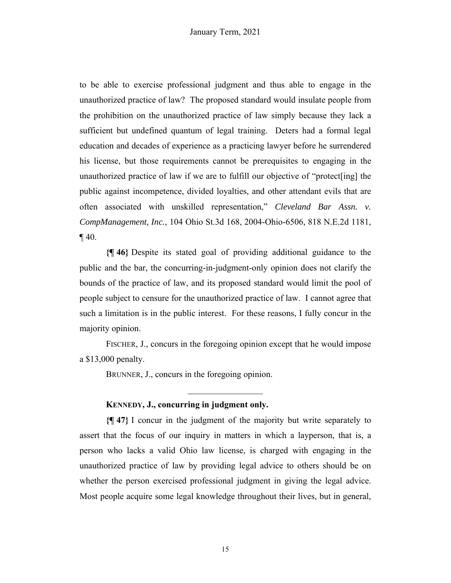to be able to exercise professional judgment and thus able to engage in the unauthorized practice of law? The proposed standard would insulate people from the prohibition on the unauthorized practice of law simply because they lack a sufficient but undefined quantum of legal training. Deters had a formal legal education and decades of experience as a practicing lawyer before he surrendered his license, but those requirements cannot be prerequisites to engaging in the unauthorized practice of law if we are to fulfill our objective of "protect[ing] the public against incompetence, divided loyalties, and other attendant evils that are often associated with unskilled representation," *Cleveland Bar Assn. v. CompManagement, Inc.*, 104 Ohio St.3d 168, 2004-Ohio-6506, 818 N.E.2d 1181,  $\P$  40.

**{¶ 46}** Despite its stated goal of providing additional guidance to the public and the bar, the concurring-in-judgment-only opinion does not clarify the bounds of the practice of law, and its proposed standard would limit the pool of people subject to censure for the unauthorized practice of law. I cannot agree that such a limitation is in the public interest. For these reasons, I fully concur in the majority opinion.

FISCHER, J., concurs in the foregoing opinion except that he would impose a \$13,000 penalty.

BRUNNER, J., concurs in the foregoing opinion.

## **KENNEDY, J., concurring in judgment only.**

**{¶ 47}** I concur in the judgment of the majority but write separately to assert that the focus of our inquiry in matters in which a layperson, that is, a person who lacks a valid Ohio law license, is charged with engaging in the unauthorized practice of law by providing legal advice to others should be on whether the person exercised professional judgment in giving the legal advice. Most people acquire some legal knowledge throughout their lives, but in general,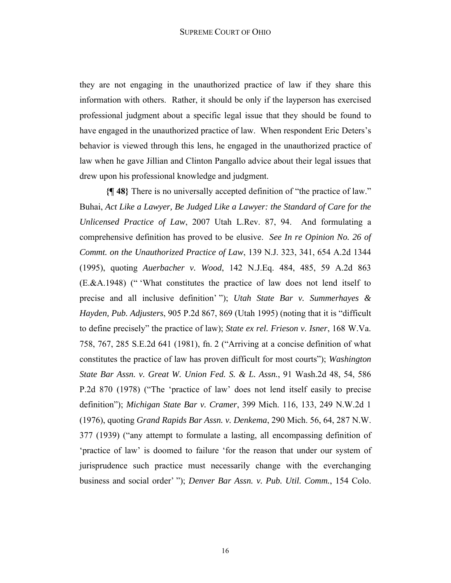they are not engaging in the unauthorized practice of law if they share this information with others. Rather, it should be only if the layperson has exercised professional judgment about a specific legal issue that they should be found to have engaged in the unauthorized practice of law. When respondent Eric Deters's behavior is viewed through this lens, he engaged in the unauthorized practice of law when he gave Jillian and Clinton Pangallo advice about their legal issues that drew upon his professional knowledge and judgment.

**{¶ 48}** There is no universally accepted definition of "the practice of law." Buhai, *Act Like a Lawyer, Be Judged Like a Lawyer: the Standard of Care for the Unlicensed Practice of Law*, 2007 Utah L.Rev. 87, 94. And formulating a comprehensive definition has proved to be elusive. *See In re Opinion No. 26 of Commt. on the Unauthorized Practice of Law*, 139 N.J. 323, 341, 654 A.2d 1344 (1995), quoting *Auerbacher v. Wood*, 142 N.J.Eq. 484, 485, 59 A.2d 863 (E.&A.1948) (" 'What constitutes the practice of law does not lend itself to precise and all inclusive definition' "); *Utah State Bar v. Summerhayes & Hayden, Pub. Adjusters*, 905 P.2d 867, 869 (Utah 1995) (noting that it is "difficult to define precisely" the practice of law); *State ex rel. Frieson v. Isner*, 168 W.Va. 758, 767, 285 S.E.2d 641 (1981), fn. 2 ("Arriving at a concise definition of what constitutes the practice of law has proven difficult for most courts"); *Washington State Bar Assn. v. Great W. Union Fed. S. & L. Assn.*, 91 Wash.2d 48, 54, 586 P.2d 870 (1978) ("The 'practice of law' does not lend itself easily to precise definition"); *Michigan State Bar v. Cramer*, 399 Mich. 116, 133, 249 N.W.2d 1 (1976), quoting *Grand Rapids Bar Assn. v. Denkema*, 290 Mich. 56, 64, 287 N.W. 377 (1939) ("any attempt to formulate a lasting, all encompassing definition of 'practice of law' is doomed to failure 'for the reason that under our system of jurisprudence such practice must necessarily change with the everchanging business and social order' "); *Denver Bar Assn. v. Pub. Util. Comm.*, 154 Colo.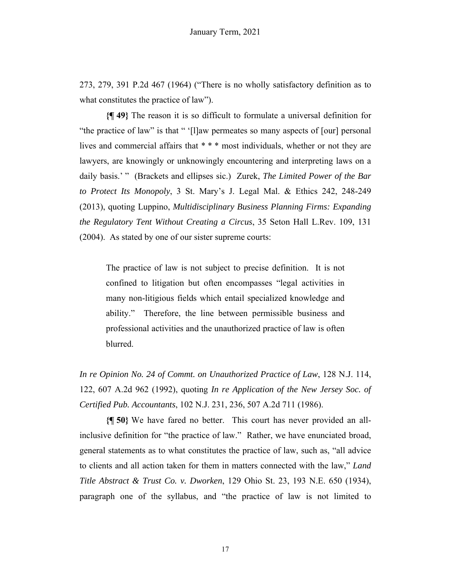273, 279, 391 P.2d 467 (1964) ("There is no wholly satisfactory definition as to what constitutes the practice of law").

**{¶ 49}** The reason it is so difficult to formulate a universal definition for "the practice of law" is that " '[l]aw permeates so many aspects of [our] personal lives and commercial affairs that \* \* \* most individuals, whether or not they are lawyers, are knowingly or unknowingly encountering and interpreting laws on a daily basis.' " (Brackets and ellipses sic.) Zurek, *The Limited Power of the Bar to Protect Its Monopoly*, 3 St. Mary's J. Legal Mal. & Ethics 242, 248-249 (2013), quoting Luppino, *Multidisciplinary Business Planning Firms: Expanding the Regulatory Tent Without Creating a Circus*, 35 Seton Hall L.Rev. 109, 131 (2004). As stated by one of our sister supreme courts:

The practice of law is not subject to precise definition. It is not confined to litigation but often encompasses "legal activities in many non-litigious fields which entail specialized knowledge and ability." Therefore, the line between permissible business and professional activities and the unauthorized practice of law is often blurred.

*In re Opinion No. 24 of Commt. on Unauthorized Practice of Law*, 128 N.J. 114, 122, 607 A.2d 962 (1992), quoting *In re Application of the New Jersey Soc. of Certified Pub. Accountants*, 102 N.J. 231, 236, 507 A.2d 711 (1986).

**{¶ 50}** We have fared no better. This court has never provided an allinclusive definition for "the practice of law." Rather, we have enunciated broad, general statements as to what constitutes the practice of law, such as, "all advice to clients and all action taken for them in matters connected with the law," *Land Title Abstract & Trust Co. v. Dworken*, 129 Ohio St. 23, 193 N.E. 650 (1934), paragraph one of the syllabus, and "the practice of law is not limited to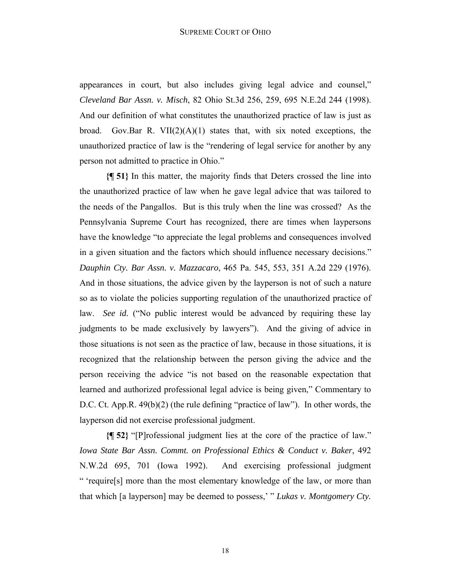appearances in court, but also includes giving legal advice and counsel," *Cleveland Bar Assn. v. Misch*, 82 Ohio St.3d 256, 259, 695 N.E.2d 244 (1998). And our definition of what constitutes the unauthorized practice of law is just as broad. Gov.Bar R. VII $(2)(A)(1)$  states that, with six noted exceptions, the unauthorized practice of law is the "rendering of legal service for another by any person not admitted to practice in Ohio."

**{¶ 51}** In this matter, the majority finds that Deters crossed the line into the unauthorized practice of law when he gave legal advice that was tailored to the needs of the Pangallos. But is this truly when the line was crossed? As the Pennsylvania Supreme Court has recognized, there are times when laypersons have the knowledge "to appreciate the legal problems and consequences involved in a given situation and the factors which should influence necessary decisions." *Dauphin Cty. Bar Assn. v. Mazzacaro*, 465 Pa. 545, 553, 351 A.2d 229 (1976). And in those situations, the advice given by the layperson is not of such a nature so as to violate the policies supporting regulation of the unauthorized practice of law. *See id.* ("No public interest would be advanced by requiring these lay judgments to be made exclusively by lawyers"). And the giving of advice in those situations is not seen as the practice of law, because in those situations, it is recognized that the relationship between the person giving the advice and the person receiving the advice "is not based on the reasonable expectation that learned and authorized professional legal advice is being given," Commentary to D.C. Ct. App.R. 49(b)(2) (the rule defining "practice of law"). In other words, the layperson did not exercise professional judgment.

**{¶ 52}** "[P]rofessional judgment lies at the core of the practice of law." *Iowa State Bar Assn. Commt. on Professional Ethics & Conduct v. Baker*, 492 N.W.2d 695, 701 (Iowa 1992). And exercising professional judgment " 'require[s] more than the most elementary knowledge of the law, or more than that which [a layperson] may be deemed to possess,' " *Lukas v. Montgomery Cty.*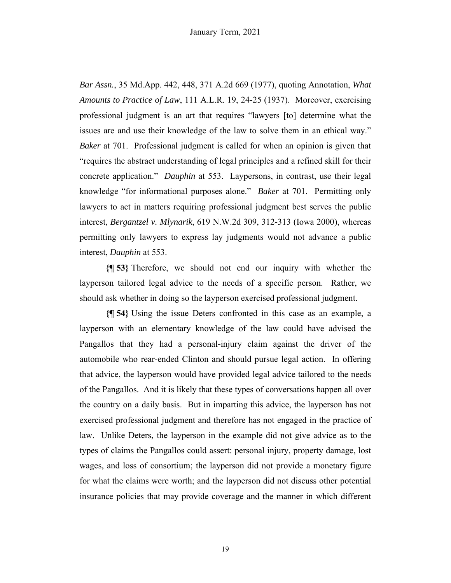*Bar Assn.*, 35 Md.App. 442, 448, 371 A.2d 669 (1977), quoting Annotation, *What Amounts to Practice of Law*, 111 A.L.R. 19, 24-25 (1937). Moreover, exercising professional judgment is an art that requires "lawyers [to] determine what the issues are and use their knowledge of the law to solve them in an ethical way." *Baker* at 701. Professional judgment is called for when an opinion is given that "requires the abstract understanding of legal principles and a refined skill for their concrete application." *Dauphin* at 553. Laypersons, in contrast, use their legal knowledge "for informational purposes alone." *Baker* at 701. Permitting only lawyers to act in matters requiring professional judgment best serves the public interest, *Bergantzel v. Mlynarik*, 619 N.W.2d 309, 312-313 (Iowa 2000), whereas permitting only lawyers to express lay judgments would not advance a public interest, *Dauphin* at 553.

**{¶ 53}** Therefore, we should not end our inquiry with whether the layperson tailored legal advice to the needs of a specific person. Rather, we should ask whether in doing so the layperson exercised professional judgment.

**{¶ 54}** Using the issue Deters confronted in this case as an example, a layperson with an elementary knowledge of the law could have advised the Pangallos that they had a personal-injury claim against the driver of the automobile who rear-ended Clinton and should pursue legal action. In offering that advice, the layperson would have provided legal advice tailored to the needs of the Pangallos. And it is likely that these types of conversations happen all over the country on a daily basis. But in imparting this advice, the layperson has not exercised professional judgment and therefore has not engaged in the practice of law. Unlike Deters, the layperson in the example did not give advice as to the types of claims the Pangallos could assert: personal injury, property damage, lost wages, and loss of consortium; the layperson did not provide a monetary figure for what the claims were worth; and the layperson did not discuss other potential insurance policies that may provide coverage and the manner in which different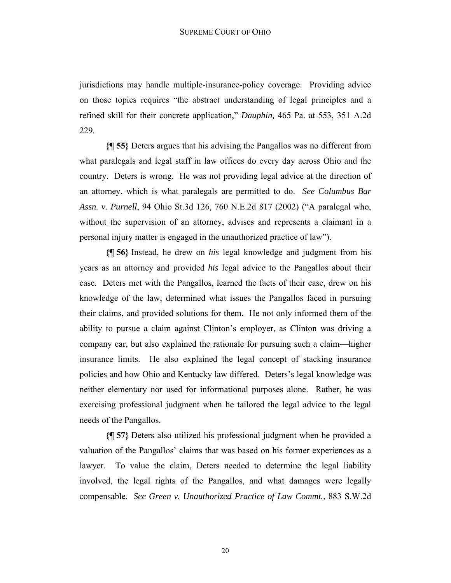jurisdictions may handle multiple-insurance-policy coverage. Providing advice on those topics requires "the abstract understanding of legal principles and a refined skill for their concrete application," *Dauphin,* 465 Pa. at 553, 351 A.2d 229*.* 

**{¶ 55}** Deters argues that his advising the Pangallos was no different from what paralegals and legal staff in law offices do every day across Ohio and the country. Deters is wrong. He was not providing legal advice at the direction of an attorney, which is what paralegals are permitted to do. *See Columbus Bar Assn. v. Purnell*, 94 Ohio St.3d 126, 760 N.E.2d 817 (2002) ("A paralegal who, without the supervision of an attorney, advises and represents a claimant in a personal injury matter is engaged in the unauthorized practice of law").

**{¶ 56}** Instead, he drew on *his* legal knowledge and judgment from his years as an attorney and provided *his* legal advice to the Pangallos about their case. Deters met with the Pangallos, learned the facts of their case, drew on his knowledge of the law, determined what issues the Pangallos faced in pursuing their claims, and provided solutions for them. He not only informed them of the ability to pursue a claim against Clinton's employer, as Clinton was driving a company car, but also explained the rationale for pursuing such a claim—higher insurance limits. He also explained the legal concept of stacking insurance policies and how Ohio and Kentucky law differed. Deters's legal knowledge was neither elementary nor used for informational purposes alone. Rather, he was exercising professional judgment when he tailored the legal advice to the legal needs of the Pangallos.

**{¶ 57}** Deters also utilized his professional judgment when he provided a valuation of the Pangallos' claims that was based on his former experiences as a lawyer. To value the claim, Deters needed to determine the legal liability involved, the legal rights of the Pangallos, and what damages were legally compensable. *See Green v. Unauthorized Practice of Law Commt.*, 883 S.W.2d